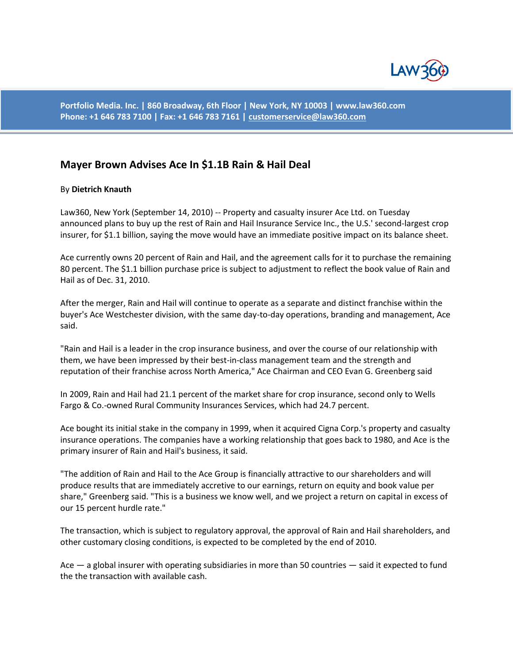

**Portfolio Media. Inc. | 860 Broadway, 6th Floor | New York, NY 10003 | www.law360.com Phone: +1 646 783 7100 | Fax: +1 646 783 7161 [| customerservice@law360.com](mailto:customerservice@law360.com)**

## **Mayer Brown Advises Ace In \$1.1B Rain & Hail Deal**

## By **Dietrich Knauth**

Law360, New York (September 14, 2010) -- Property and casualty insurer Ace Ltd. on Tuesday announced plans to buy up the rest of Rain and Hail Insurance Service Inc., the U.S.' second-largest crop insurer, for \$1.1 billion, saying the move would have an immediate positive impact on its balance sheet.

Ace currently owns 20 percent of Rain and Hail, and the agreement calls for it to purchase the remaining 80 percent. The \$1.1 billion purchase price is subject to adjustment to reflect the book value of Rain and Hail as of Dec. 31, 2010.

After the merger, Rain and Hail will continue to operate as a separate and distinct franchise within the buyer's Ace Westchester division, with the same day-to-day operations, branding and management, Ace said.

"Rain and Hail is a leader in the crop insurance business, and over the course of our relationship with them, we have been impressed by their best-in-class management team and the strength and reputation of their franchise across North America," Ace Chairman and CEO Evan G. Greenberg said

In 2009, Rain and Hail had 21.1 percent of the market share for crop insurance, second only to Wells Fargo & Co.-owned Rural Community Insurances Services, which had 24.7 percent.

Ace bought its initial stake in the company in 1999, when it acquired Cigna Corp.'s property and casualty insurance operations. The companies have a working relationship that goes back to 1980, and Ace is the primary insurer of Rain and Hail's business, it said.

"The addition of Rain and Hail to the Ace Group is financially attractive to our shareholders and will produce results that are immediately accretive to our earnings, return on equity and book value per share," Greenberg said. "This is a business we know well, and we project a return on capital in excess of our 15 percent hurdle rate."

The transaction, which is subject to regulatory approval, the approval of Rain and Hail shareholders, and other customary closing conditions, is expected to be completed by the end of 2010.

Ace — a global insurer with operating subsidiaries in more than 50 countries — said it expected to fund the the transaction with available cash.